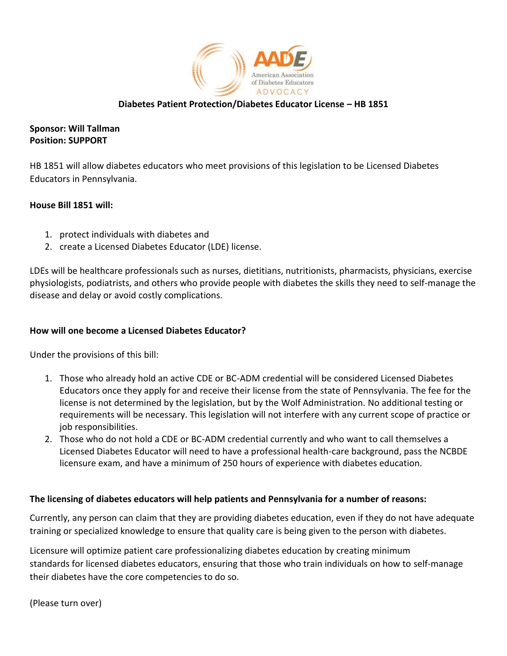

# **Diabetes Patient Protection/Diabetes Educator License – HB 1851**

# **Sponsor: Will Tallman Position: SUPPORT**

HB 1851 will allow diabetes educators who meet provisions of this legislation to be Licensed Diabetes Educators in Pennsylvania.

# **House Bill 1851 will:**

- 1. protect individuals with diabetes and
- 2. create a Licensed Diabetes Educator (LDE) license.

LDEs will be healthcare professionals such as nurses, dietitians, nutritionists, pharmacists, physicians, exercise physiologists, podiatrists, and others who provide people with diabetes the skills they need to self-manage the disease and delay or avoid costly complications.

## **How will one become a Licensed Diabetes Educator?**

Under the provisions of this bill:

- 1. Those who already hold an active CDE or BC-ADM credential will be considered Licensed Diabetes Educators once they apply for and receive their license from the state of Pennsylvania. The fee for the license is not determined by the legislation, but by the Wolf Administration. No additional testing or requirements will be necessary. This legislation will not interfere with any current scope of practice or job responsibilities.
- 2. Those who do not hold a CDE or BC-ADM credential currently and who want to call themselves a Licensed Diabetes Educator will need to have a professional health-care background, pass the NCBDE licensure exam, and have a minimum of 250 hours of experience with diabetes education.

## **The licensing of diabetes educators will help patients and Pennsylvania for a number of reasons:**

Currently, any person can claim that they are providing diabetes education, even if they do not have adequate training or specialized knowledge to ensure that quality care is being given to the person with diabetes.

Licensure will optimize patient care professionalizing diabetes education by creating minimum standards for licensed diabetes educators, ensuring that those who train individuals on how to self-manage their diabetes have the core competencies to do so.

(Please turn over)